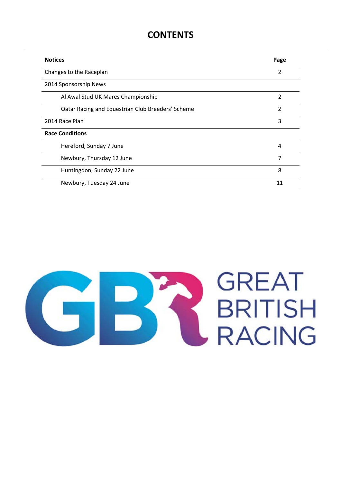### **CONTENTS**

| <b>Notices</b>                                    | Page |
|---------------------------------------------------|------|
| Changes to the Raceplan                           | 2    |
| 2014 Sponsorship News                             |      |
| Al Awal Stud UK Mares Championship                | 2    |
| Qatar Racing and Equestrian Club Breeders' Scheme | 2    |
| 2014 Race Plan                                    | 3    |
| <b>Race Conditions</b>                            |      |
| Hereford, Sunday ôune                             | 4    |
| Newbury, Thursday 12 June                         | 7    |
| Huntingdon, Sunday 22 June                        | 8    |
| Newbury, Tuesday 24 June                          | 11   |

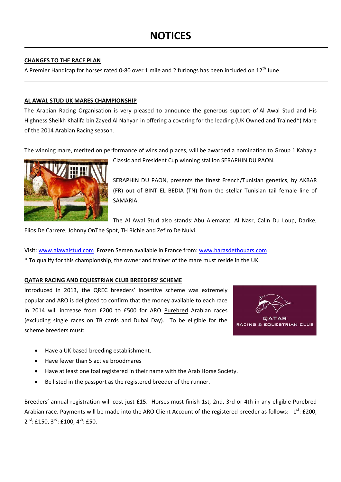#### **CHANGES TO THE RACE PLAN**

A Premier Handicap for horses rated 0-80 over 1 mile and 2 furlongs has been included on  $12^{th}$  June.

#### **AL AWAL STUD UK MARES CHAMPIONSHIP**

The Arabian Racing Organisation is very pleased to announce the generous support of Al Awal Stud and His Highness Sheikh Khalifa bin Zayed Al Nahyan in offering a covering for the leading (UK Owned and Trained\*) Mare of the 2014 Arabian Racing season.

The winning mare, merited on performance of wins and places, will be awarded a nomination to Group 1 Kahayla



Classic and President Cup winning stallion SERAPHIN DU PAON.

SERAPHIN DU PAON, presents the finest French/Tunisian genetics, by AKBAR (FR) out of BINT EL BEDIA (TN) from the stellar Tunisian tail female line of SAMARIA.

The Al Awal Stud also stands: Abu Alemarat, Al Nasr, Calin Du Loup, Darike,

Elios De Carrere, Johnny OnThe Spot, TH Richie and Zefiro De Nulvi.

Visit: www.alawalstud.com Frozen Semen available in France from: www.harasdethouars.com

\* To qualify for this championship, the owner and trainer of the mare must reside in the UK.

#### **QATAR RACING AND EQUESTRIAN CLUB BREEDERS' SCHEME**

Introduced in 2013, the QREC breeders' incentive scheme was extremely popular and ARO is delighted to confirm that the money available to each race in 2014 will increase from £200 to £500 for ARO Purebred Arabian races (excluding single races on TB cards and Dubai Day). To be eligible for the scheme breeders must:



- Have a UK based breeding establishment.
- Have fewer than 5 active broodmares
- Have at least one foal registered in their name with the Arab Horse Society.
- Be listed in the passport as the registered breeder of the runner.

Breeders' annual registration will cost just £15. Horses must finish 1st, 2nd, 3rd or 4th in any eligible Purebred Arabian race. Payments will be made into the ARO Client Account of the registered breeder as follows:  $1^{st}$ : £200,  $2^{nd}$ : £150, 3<sup>rd</sup>: £100, 4<sup>th</sup>: £50.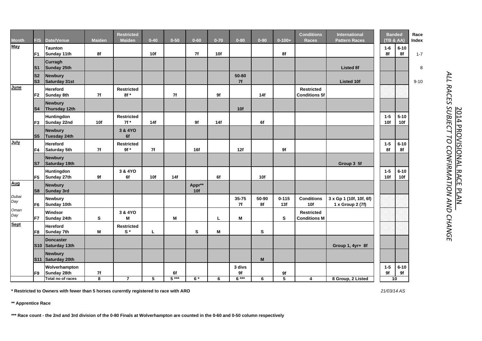| <b>Month</b> | F/S                              | Date/Venue                            | <b>Maiden</b> | <b>Maiden</b>                               | $0 - 40$ | $0 - 50$ | $0 - 60$      | $0 - 70$ | $0 - 80$     | $0 - 90$    | $0 - 100 +$      | <b>Races</b>                              | <b>Pattern Races</b>                        |                | (TB & AA)       | Index    |
|--------------|----------------------------------|---------------------------------------|---------------|---------------------------------------------|----------|----------|---------------|----------|--------------|-------------|------------------|-------------------------------------------|---------------------------------------------|----------------|-----------------|----------|
| <b>May</b>   | F <sub>1</sub>                   | <b>Taunton</b><br>Sunday 11th         | 8f            |                                             | 10f      |          | 7f            | 10f      |              |             | 8f               |                                           |                                             | $1 - 6$<br>8f  | $6 - 10$<br>8f  | $1 - 7$  |
|              | S <sub>1</sub>                   | <b>Curragh</b><br>Sunday 25th         |               |                                             |          |          |               |          |              |             |                  |                                           | <b>Listed 8f</b>                            |                |                 |          |
|              | S <sub>2</sub><br>s <sub>3</sub> | <b>Newbury</b><br>Saturday 31st       |               |                                             |          |          |               |          | 50-80<br>7f  |             |                  |                                           | <b>Listed 10f</b>                           |                |                 | $9 - 10$ |
| June         | F <sub>2</sub>                   | <b>Hereford</b><br><b>Sunday 8th</b>  | 7f            | <b>Restricted</b><br>$8f *$                 |          | 7f       |               | 9f       |              | 14f         |                  | <b>Restricted</b><br><b>Conditions 5f</b> |                                             |                |                 |          |
|              | S <sub>4</sub>                   | <b>Newbury</b><br>Thursday 12th       |               |                                             |          |          |               |          | 10f          |             |                  |                                           |                                             |                |                 |          |
|              | F <sub>3</sub>                   | <b>Huntingdon</b><br>Sunday 22nd      | 10f           | <b>Restricted</b><br>$7f *$                 | 14f      |          | 9f            | 14f      |              | 6f          |                  |                                           |                                             | $1 - 5$<br>10f | $5 - 10$<br>10f |          |
|              | S <sub>5</sub>                   | <b>Newbury</b><br>Tuesday 24th        |               | 3 & 4YO<br>6f                               |          |          |               |          |              |             |                  |                                           |                                             |                |                 |          |
| July         | F4                               | <b>Hereford</b><br>Saturday 5th       | 7f            | <b>Restricted</b><br>$9f *$                 | 7f       |          | 16f           |          | 12f          |             | 9f               |                                           |                                             | $1 - 5$<br>8f  | $6 - 10$<br>8f  |          |
|              | S7                               | <b>Newbury</b><br>Saturday 19th       |               |                                             |          |          |               |          |              |             |                  |                                           | Group 3 5f                                  |                |                 |          |
|              | F <sub>5</sub>                   | <b>Huntingdon</b><br>Sunday 27th      | 9f            | 3 & 4YO<br>6f                               | 10f      | 14f      |               | 6f       |              | 10f         |                  |                                           |                                             | $1 - 5$<br>10f | $6 - 10$<br>10f |          |
| Aug          | S8                               | <b>Newbury</b><br>Sunday 3rd          |               |                                             |          |          | Appr**<br>10f |          |              |             |                  |                                           |                                             |                |                 |          |
| Dubai<br>Day | F <sub>6</sub>                   | <b>Newbury</b><br>Sunday 10th         |               |                                             |          |          |               |          | 35-75<br>7f  | 50-90<br>8f | $0 - 115$<br>13f | <b>Conditions</b><br>10f                  | 3 x Gp 1 (10f, 10f, 6f)<br>1 x Group 2 (7f) |                |                 |          |
| Oman<br>Day  | F7                               | Windsor<br>Sunday 24th                | S             | 3 & 4YO<br>M                                |          | M        |               | L        | M            |             | S                | <b>Restricted</b><br><b>Conditions M</b>  |                                             |                |                 |          |
| <b>Sept</b>  | F8                               | <b>Hereford</b><br>Sunday 7th         | M             | <b>Restricted</b><br>$\mathbf{S}^{\,\star}$ | L        |          | s             | M        |              | S           |                  |                                           |                                             |                |                 |          |
|              |                                  | <b>Doncaster</b><br>S10 Saturday 13th |               |                                             |          |          |               |          |              |             |                  |                                           | Group 1, 4yr+ 8f                            |                |                 |          |
|              | <b>S11</b>                       | <b>Newbury</b><br>Saturday 20th       |               |                                             |          |          |               |          |              | M           |                  |                                           |                                             |                |                 |          |
|              | F9                               | Wolverhampton<br>Sunday 28th          | $7f$          |                                             |          | 6f       |               |          | 3 divs<br>9f |             | 9f               |                                           |                                             | $1-5$<br>9f    | $6 - 10$<br>9f  |          |
|              |                                  | Total no of races                     | 8             | $\overline{7}$                              | 5        | $5***$   | $6*$          | 6        | $6***$       | 6           | 5                | $\overline{4}$                            | 8 Group, 2 Listed                           |                | 10              |          |

**Conditions Races**

**International** 

2014 **PROVISIONAL** RACE PLAN *ALL RACES SUBJECT TO CONFIRMATION AND CHANGE*

**Race** 

**Banded**

**\*\* Apprentice Race**

**Restricted Maiden**

**\*\*\* Race count - the 2nd and 3rd division of the 0-80 Finals at Wolverhampton are counted in the 0-60 and 0-50 column respectively**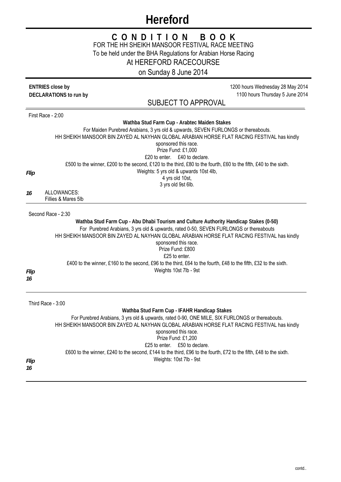# **Hereford**

### **C O N D I T I O N B O O K** FOR THE HH SHEIKH MANSOOR FESTIVAL RACE MEETING To be held under the BHA Regulations for Arabian Horse Racing At HEREFORD RACECOURSE

on Sunday 8 June 2014

|             | <b>ENTRIES close by</b>            |                                                                                                                                                                                                                                                                | 1200 hours Wednesday 28 May 2014 |
|-------------|------------------------------------|----------------------------------------------------------------------------------------------------------------------------------------------------------------------------------------------------------------------------------------------------------------|----------------------------------|
|             | DECLARATIONS to run by             |                                                                                                                                                                                                                                                                | 1100 hours Thursday 5 June 2014  |
|             |                                    | <b>SUBJECT TO APPROVAL</b>                                                                                                                                                                                                                                     |                                  |
|             | First Race - 2:00                  |                                                                                                                                                                                                                                                                |                                  |
|             |                                    | Wathba Stud Farm Cup - Arabtec Maiden Stakes                                                                                                                                                                                                                   |                                  |
|             |                                    | For Maiden Purebred Arabians, 3 yrs old & upwards, SEVEN FURLONGS or thereabouts.<br>HH SHEIKH MANSOOR BIN ZAYED AL NAYHAN GLOBAL ARABIAN HORSE FLAT RACING FESTIVAL has kindly<br>sponsored this race.<br>Prize Fund: £1,000<br>£20 to enter. £40 to declare. |                                  |
| <b>Flip</b> |                                    | £500 to the winner, £200 to the second, £120 to the third, £80 to the fourth, £60 to the fifth, £40 to the sixth.<br>Weights: 5 yrs old & upwards 10st 4lb,<br>4 yrs old 10st,<br>3 yrs old 9st 6lb.                                                           |                                  |
| 16          | ALLOWANCES:<br>Fillies & Mares 5lb |                                                                                                                                                                                                                                                                |                                  |
|             | Second Race - 2:30                 |                                                                                                                                                                                                                                                                |                                  |
|             |                                    | Wathba Stud Farm Cup - Abu Dhabi Tourism and Culture Authority Handicap Stakes (0-50)                                                                                                                                                                          |                                  |
|             |                                    | For Purebred Arabians, 3 yrs old & upwards, rated 0-50, SEVEN FURLONGS or thereabouts<br>HH SHEIKH MANSOOR BIN ZAYED AL NAYHAN GLOBAL ARABIAN HORSE FLAT RACING FESTIVAL has kindly<br>sponsored this race.<br>Prize Fund: £800<br>£25 to enter.               |                                  |
|             |                                    | £400 to the winner, £160 to the second, £96 to the third, £64 to the fourth, £48 to the fifth, £32 to the sixth.                                                                                                                                               |                                  |
| Flip<br>16  |                                    | Weights 10st 7lb - 9st                                                                                                                                                                                                                                         |                                  |
|             | Third Race - 3:00                  |                                                                                                                                                                                                                                                                |                                  |
|             |                                    | Wathba Stud Farm Cup - IFAHR Handicap Stakes                                                                                                                                                                                                                   |                                  |
|             |                                    | For Purebred Arabians, 3 yrs old & upwards, rated 0-90, ONE MILE, SIX FURLONGS or thereabouts.<br>HH SHEIKH MANSOOR BIN ZAYED AL NAYHAN GLOBAL ARABIAN HORSE FLAT RACING FESTIVAL has kindly<br>sponsored this race.<br>Prize Fund: £1,200                     |                                  |
| Flip        |                                    | £25 to enter. £50 to declare.<br>£600 to the winner, £240 to the second, £144 to the third, £96 to the fourth, £72 to the fifth, £48 to the sixth.<br>Weights: 10st 7lb - 9st                                                                                  |                                  |
| 16          |                                    |                                                                                                                                                                                                                                                                |                                  |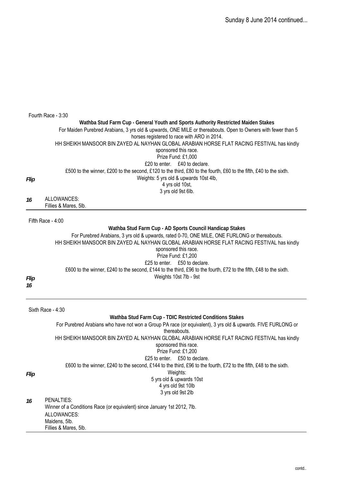|      | Fourth Race - 3:30                                                                                                                                                                                 |
|------|----------------------------------------------------------------------------------------------------------------------------------------------------------------------------------------------------|
|      | Wathba Stud Farm Cup - General Youth and Sports Authority Restricted Maiden Stakes<br>For Maiden Purebred Arabians, 3 yrs old & upwards, ONE MILE or thereabouts. Open to Owners with fewer than 5 |
|      | horses registered to race with ARO in 2014.                                                                                                                                                        |
|      | HH SHEIKH MANSOOR BIN ZAYED AL NAYHAN GLOBAL ARABIAN HORSE FLAT RACING FESTIVAL has kindly                                                                                                         |
|      | sponsored this race.<br>Prize Fund: £1,000                                                                                                                                                         |
|      | £20 to enter. £40 to declare.                                                                                                                                                                      |
|      | £500 to the winner, £200 to the second, £120 to the third, £80 to the fourth, £60 to the fifth, £40 to the sixth.                                                                                  |
| Flip | Weights: 5 yrs old & upwards 10st 4lb,                                                                                                                                                             |
|      | 4 yrs old 10st,<br>3 yrs old 9st 6lb.                                                                                                                                                              |
| 16   | ALLOWANCES:                                                                                                                                                                                        |
|      | Fillies & Mares, 5lb.                                                                                                                                                                              |
|      |                                                                                                                                                                                                    |
|      | Fifth Race - 4:00                                                                                                                                                                                  |
|      | Wathba Stud Farm Cup - AD Sports Council Handicap Stakes<br>For Purebred Arabians, 3 yrs old & upwards, rated 0-70, ONE MILE, ONE FURLONG or thereabouts.                                          |
|      | HH SHEIKH MANSOOR BIN ZAYED AL NAYHAN GLOBAL ARABIAN HORSE FLAT RACING FESTIVAL has kindly                                                                                                         |
|      | sponsored this race.                                                                                                                                                                               |
|      | Prize Fund: £1,200                                                                                                                                                                                 |
|      | £25 to enter. £50 to declare.                                                                                                                                                                      |
|      | £600 to the winner, £240 to the second, £144 to the third, £96 to the fourth, £72 to the fifth, £48 to the sixth.                                                                                  |
| Flip | Weights 10st 7lb - 9st                                                                                                                                                                             |
| 16   |                                                                                                                                                                                                    |
|      |                                                                                                                                                                                                    |
|      | Sixth Race - 4:30                                                                                                                                                                                  |
|      | Wathba Stud Farm Cup - TDIC Restricted Conditions Stakes                                                                                                                                           |
|      | For Purebred Arabians who have not won a Group PA race (or equivalent), 3 yrs old & upwards. FIVE FURLONG or<br>thereabouts.                                                                       |
|      | HH SHEIKH MANSOOR BIN ZAYED AL NAYHAN GLOBAL ARABIAN HORSE FLAT RACING FESTIVAL has kindly                                                                                                         |
|      | sponsored this race.                                                                                                                                                                               |
|      | Prize Fund: £1,200<br>£25 to enter. £50 to declare.                                                                                                                                                |
|      | £600 to the winner, £240 to the second, £144 to the third, £96 to the fourth, £72 to the fifth, £48 to the sixth.                                                                                  |
| Flip | Weights:                                                                                                                                                                                           |
|      | 5 yrs old & upwards 10st                                                                                                                                                                           |
|      | 4 yrs old 9st 10lb                                                                                                                                                                                 |
|      | 3 yrs old 9st 2lb                                                                                                                                                                                  |
| 16   | PENALTIES:<br>Winner of a Conditions Race (or equivalent) since January 1st 2012, 7lb.                                                                                                             |
|      | ALLOWANCES:                                                                                                                                                                                        |
|      | Maidens, 5lb.                                                                                                                                                                                      |
|      | Fillies & Mares, 5lb.                                                                                                                                                                              |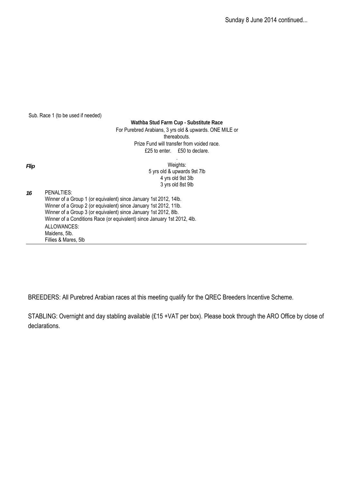Sunday 8 June 2014 continued...

Sub. Race 1 (to be used if needed)

**Wathba Stud Farm Cup - Substitute Race** For Purebred Arabians, 3 yrs old & upwards. ONE MILE or thereabouts. Prize Fund will transfer from voided race. £25 to enter. £50 to declare.

*Flip*

Weights: 5 yrs old & upwards 9st 7lb 4 yrs old 9st 3lb 3 yrs old 8st 9lb

.

| 16 | PENALTIES:                                                               |
|----|--------------------------------------------------------------------------|
|    | Winner of a Group 1 (or equivalent) since January 1st 2012, 14lb.        |
|    | Winner of a Group 2 (or equivalent) since January 1st 2012, 11lb.        |
|    | Winner of a Group 3 (or equivalent) since January 1st 2012, 8lb.         |
|    | Winner of a Conditions Race (or equivalent) since January 1st 2012, 4lb. |
|    | ALLOWANCES:                                                              |
|    | Maidens, 5lb.                                                            |
|    | Fillies & Mares, 5lb                                                     |
|    |                                                                          |

BREEDERS: All Purebred Arabian races at this meeting qualify for the QREC Breeders Incentive Scheme.

STABLING: Overnight and day stabling available (£15 +VAT per box). Please book through the ARO Office by close of declarations.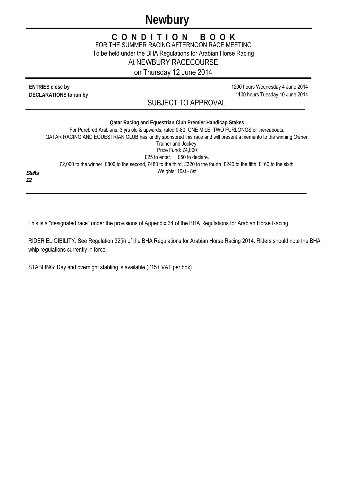# **Newbury**

## **C O N D I T I O N B O O K**

FOR THE SUMMER RACING AFTERNOON RACE MEETING

To be held under the BHA Regulations for Arabian Horse Racing

At NEWBURY RACECOURSE

on Thursday 12 June 2014

**ENTRIES close by DECLARATIONS to run by** 1200 hours Wednesday 4 June 2014 1100 hours Tuesday 10 June 2014

SUBJECT TO APPROVAL

|                     | <b>Qatar Racing and Equestrian Club Premier Handicap Stakes</b><br>For Purebred Arabians, 3 yrs old & upwards, rated 0-80, ONE MILE, TWO FURLONGS or thereabouts. |
|---------------------|-------------------------------------------------------------------------------------------------------------------------------------------------------------------|
|                     | QATAR RACING AND EQUESTRIAN CLUB has kindly sponsored this race and will present a memento to the winning Owner,                                                  |
|                     | Trainer and Jockey.                                                                                                                                               |
|                     | Prize Fund: £4,000                                                                                                                                                |
|                     | £25 to enter. £50 to declare.                                                                                                                                     |
|                     | £2,000 to the winner, £800 to the second, £480 to the third, £320 to the fourth, £240 to the fifth, £160 to the sixth.                                            |
| <b>Stalls</b><br>12 | Weights: 10st - 8st                                                                                                                                               |

This is a "designated race" under the provisions of Appendix 34 of the BHA Regulations for Arabian Horse Racing.

RIDER ELIGIBILITY: See Regulation 32(ii) of the BHA Regulations for Arabian Horse Racing 2014. Riders should note the BHA whip regulations currently in force.

STABLING: Day and overnight stabling is available (£15+ VAT per box).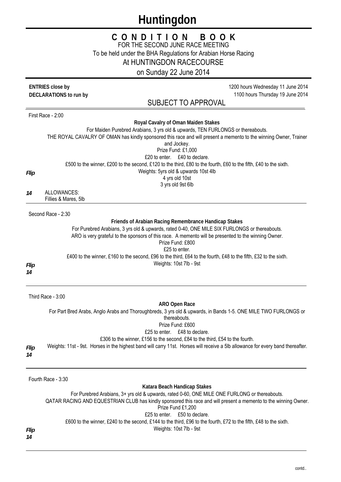# **Huntingdon**

## **C O N D I T I O N B O O K**

FOR THE SECOND JUNE RACE MEETING

To be held under the BHA Regulations for Arabian Horse Racing

At HUNTINGDON RACECOURSE

on Sunday 22 June 2014

|            | <b>ENTRIES close by</b>             |                                                                                                                                                                                                                                                                                                                                                                                                                                                            | 1200 hours Wednesday 11 June 2014 |
|------------|-------------------------------------|------------------------------------------------------------------------------------------------------------------------------------------------------------------------------------------------------------------------------------------------------------------------------------------------------------------------------------------------------------------------------------------------------------------------------------------------------------|-----------------------------------|
|            | DECLARATIONS to run by              | <b>SUBJECT TO APPROVAL</b>                                                                                                                                                                                                                                                                                                                                                                                                                                 | 1100 hours Thursday 19 June 2014  |
|            | First Race - 2:00                   |                                                                                                                                                                                                                                                                                                                                                                                                                                                            |                                   |
|            |                                     | Royal Cavalry of Oman Maiden Stakes<br>For Maiden Purebred Arabians, 3 yrs old & upwards, TEN FURLONGS or thereabouts.<br>THE ROYAL CAVALRY OF OMAN has kindly sponsored this race and will present a memento to the winning Owner, Trainer<br>and Jockey.<br>Prize Fund: £1,000                                                                                                                                                                           |                                   |
| Flip       |                                     | £20 to enter. £40 to declare.<br>£500 to the winner, £200 to the second, £120 to the third, £80 to the fourth, £60 to the fifth, £40 to the sixth.<br>Weights: 5yrs old & upwards 10st 4lb<br>4 yrs old 10st<br>3 yrs old 9st 6lb                                                                                                                                                                                                                          |                                   |
| 14         | ALLOWANCES:<br>Fillies & Mares, 5lb |                                                                                                                                                                                                                                                                                                                                                                                                                                                            |                                   |
|            | Second Race - 2:30                  |                                                                                                                                                                                                                                                                                                                                                                                                                                                            |                                   |
| Flip<br>14 |                                     | Friends of Arabian Racing Remembrance Handicap Stakes<br>For Purebred Arabians, 3 yrs old & upwards, rated 0-40, ONE MILE SIX FURLONGS or thereabouts.<br>ARO is very grateful to the sponsors of this race. A memento will be presented to the winning Owner.<br>Prize Fund: £800<br>£25 to enter.<br>£400 to the winner, £160 to the second, £96 to the third, £64 to the fourth, £48 to the fifth, £32 to the sixth.<br>Weights: 10st 7lb - 9st         |                                   |
|            | Third Race - 3:00                   |                                                                                                                                                                                                                                                                                                                                                                                                                                                            |                                   |
|            |                                     | ARO Open Race<br>For Part Bred Arabs, Anglo Arabs and Thoroughbreds, 3 yrs old & upwards, in Bands 1-5. ONE MILE TWO FURLONGS or<br>thereabouts.<br>Prize Fund: £600<br>£25 to enter. £48 to declare.<br>£306 to the winner, £156 to the second, £84 to the third, £54 to the fourth.                                                                                                                                                                      |                                   |
| Flip<br>14 |                                     | Weights: 11st - 9st. Horses in the highest band will carry 11st. Horses will receive a 5lb allowance for every band thereafter.                                                                                                                                                                                                                                                                                                                            |                                   |
|            | Fourth Race - 3:30                  |                                                                                                                                                                                                                                                                                                                                                                                                                                                            |                                   |
|            |                                     | Katara Beach Handicap Stakes<br>For Purebred Arabians, 3+ yrs old & upwards, rated 0-60, ONE MILE ONE FURLONG or thereabouts.<br>QATAR RACING AND EQUESTRIAN CLUB has kindly sponsored this race and will present a memento to the winning Owner.<br>Prize Fund £1,200<br>£25 to enter.<br>£50 to declare.<br>£600 to the winner, £240 to the second, £144 to the third, £96 to the fourth, £72 to the fifth, £48 to the sixth.<br>Weights: 10st 7lb - 9st |                                   |
| Flip<br>14 |                                     |                                                                                                                                                                                                                                                                                                                                                                                                                                                            |                                   |

8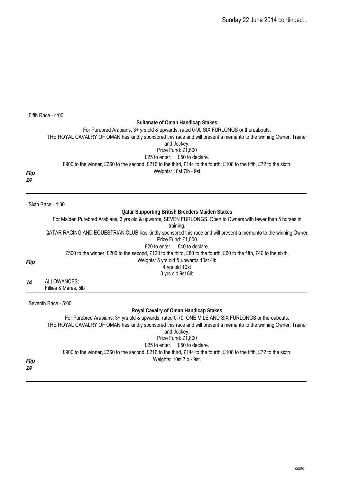|            | Fifth Race - 4:00                                                                                                                                                                                                                                                                                                                                                                                                                                  |
|------------|----------------------------------------------------------------------------------------------------------------------------------------------------------------------------------------------------------------------------------------------------------------------------------------------------------------------------------------------------------------------------------------------------------------------------------------------------|
|            | <b>Sultanate of Oman Handicap Stakes</b><br>For Purebred Arabians, 3+ yrs old & upwards, rated 0-90 SIX FURLONGS or thereabouts.<br>THE ROYAL CAVALRY OF OMAN has kindly sponsored this race and will present a memento to the winning Owner, Trainer<br>and Jockey.<br>Prize Fund: £1,800<br>£25 to enter. £50 to declare.<br>£900 to the winner, £360 to the second, £216 to the third, £144 to the fourth, £108 to the fifth, £72 to the sixth. |
| Flip<br>14 | Weights: 10st 7lb - 9st                                                                                                                                                                                                                                                                                                                                                                                                                            |
|            | Sixth Race - 4:30                                                                                                                                                                                                                                                                                                                                                                                                                                  |
|            | <b>Qatar Supporting British Breeders Maiden Stakes</b>                                                                                                                                                                                                                                                                                                                                                                                             |
|            | For Maiden Purebred Arabians, 3 yrs old & upwards, SEVEN FURLONGS. Open to Owners with fewer than 5 horses in<br>training.                                                                                                                                                                                                                                                                                                                         |
|            | QATAR RACING AND EQUESTRIAN CLUB has kindly sponsored this race and will present a memento to the winning Owner.<br>Prize Fund: £1,000<br>£20 to enter. £40 to declare.                                                                                                                                                                                                                                                                            |
|            | £500 to the winner, £200 to the second, £120 to the third, £80 to the fourth, £60 to the fifth, £40 to the sixth.                                                                                                                                                                                                                                                                                                                                  |
| Flip       | Weights: 5 yrs old & upwards 10st 4lb                                                                                                                                                                                                                                                                                                                                                                                                              |
|            | 4 yrs old 10st                                                                                                                                                                                                                                                                                                                                                                                                                                     |
|            | 3 yrs old 9st 6lb                                                                                                                                                                                                                                                                                                                                                                                                                                  |
| 14         | ALLOWANCES:<br>Fillies & Mares, 5lb                                                                                                                                                                                                                                                                                                                                                                                                                |
|            | Seventh Race - 5:00                                                                                                                                                                                                                                                                                                                                                                                                                                |
|            | Royal Cavalry of Oman Handicap Stakes                                                                                                                                                                                                                                                                                                                                                                                                              |
|            | For Purebred Arabians, 3+ yrs old & upwards, rated 0-70, ONE MILE AND SIX FURLONGS or thereabouts.<br>THE ROYAL CAVALRY OF OMAN has kindly sponsored this race and will present a memento to the winning Owner, Trainer<br>and Jockey.<br>Prize Fund: £1,800<br>£25 to enter. £50 to declare.                                                                                                                                                      |
|            | £900 to the winner, £360 to the second, £216 to the third, £144 to the fourth, £108 to the fifth, £72 to the sixth.                                                                                                                                                                                                                                                                                                                                |
| Flip<br>14 | Weights: 10st 7lb - 9st.                                                                                                                                                                                                                                                                                                                                                                                                                           |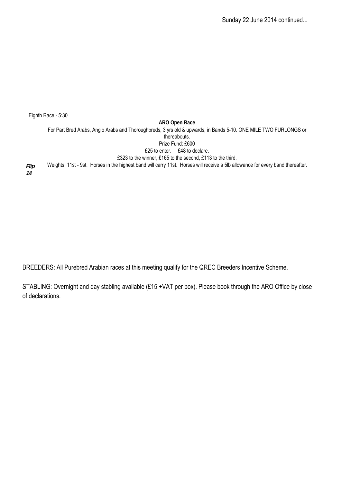Sunday 22 June 2014 continued...

Eighth Race - 5:30 **ARO Open Race** For Part Bred Arabs, Anglo Arabs and Thoroughbreds, 3 yrs old & upwards, in Bands 5-10. ONE MILE TWO FURLONGS or thereabouts. Prize Fund: £600 £25 to enter. £48 to declare. £323 to the winner, £165 to the second, £113 to the third. Weights: 11st - 9st. Horses in the highest band will carry 11st. Horses will receive a 5lb allowance for every band thereafter. *14 Flip*

BREEDERS: All Purebred Arabian races at this meeting qualify for the QREC Breeders Incentive Scheme.

STABLING: Overnight and day stabling available (£15 +VAT per box). Please book through the ARO Office by close of declarations.